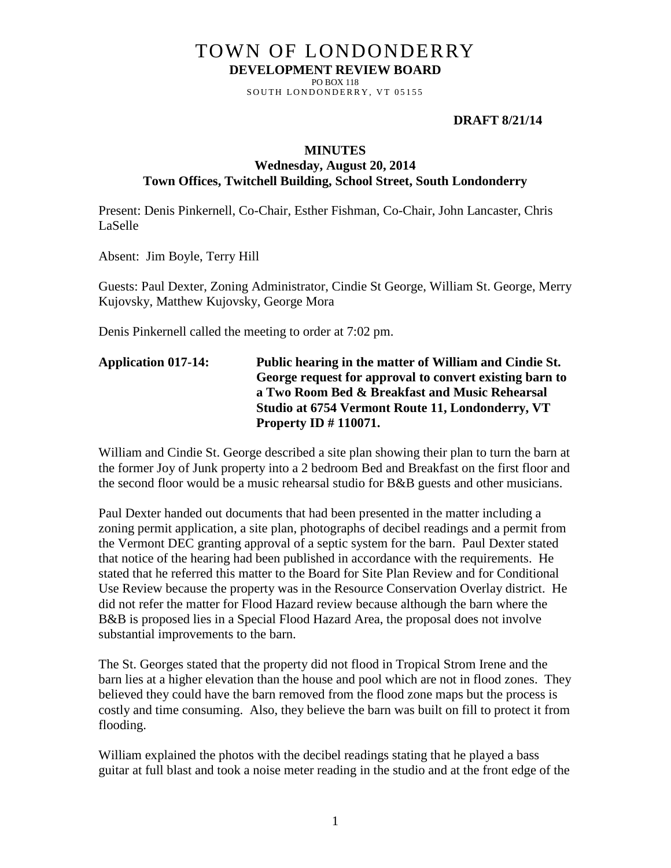# TOWN OF LONDONDERRY **DEVELOPMENT REVIEW BOARD**

PO BOX 118 SOUTH LONDONDERRY, VT 05155

### **DRAFT 8/21/14**

#### **MINUTES**

### **Wednesday, August 20, 2014 Town Offices, Twitchell Building, School Street, South Londonderry**

Present: Denis Pinkernell, Co-Chair, Esther Fishman, Co-Chair, John Lancaster, Chris LaSelle

Absent: Jim Boyle, Terry Hill

Guests: Paul Dexter, Zoning Administrator, Cindie St George, William St. George, Merry Kujovsky, Matthew Kujovsky, George Mora

Denis Pinkernell called the meeting to order at 7:02 pm.

**Application 017-14: Public hearing in the matter of William and Cindie St. George request for approval to convert existing barn to a Two Room Bed & Breakfast and Music Rehearsal Studio at 6754 Vermont Route 11, Londonderry, VT Property ID # 110071.** 

William and Cindie St. George described a site plan showing their plan to turn the barn at the former Joy of Junk property into a 2 bedroom Bed and Breakfast on the first floor and the second floor would be a music rehearsal studio for B&B guests and other musicians.

Paul Dexter handed out documents that had been presented in the matter including a zoning permit application, a site plan, photographs of decibel readings and a permit from the Vermont DEC granting approval of a septic system for the barn. Paul Dexter stated that notice of the hearing had been published in accordance with the requirements. He stated that he referred this matter to the Board for Site Plan Review and for Conditional Use Review because the property was in the Resource Conservation Overlay district. He did not refer the matter for Flood Hazard review because although the barn where the B&B is proposed lies in a Special Flood Hazard Area, the proposal does not involve substantial improvements to the barn.

The St. Georges stated that the property did not flood in Tropical Strom Irene and the barn lies at a higher elevation than the house and pool which are not in flood zones. They believed they could have the barn removed from the flood zone maps but the process is costly and time consuming. Also, they believe the barn was built on fill to protect it from flooding.

William explained the photos with the decibel readings stating that he played a bass guitar at full blast and took a noise meter reading in the studio and at the front edge of the